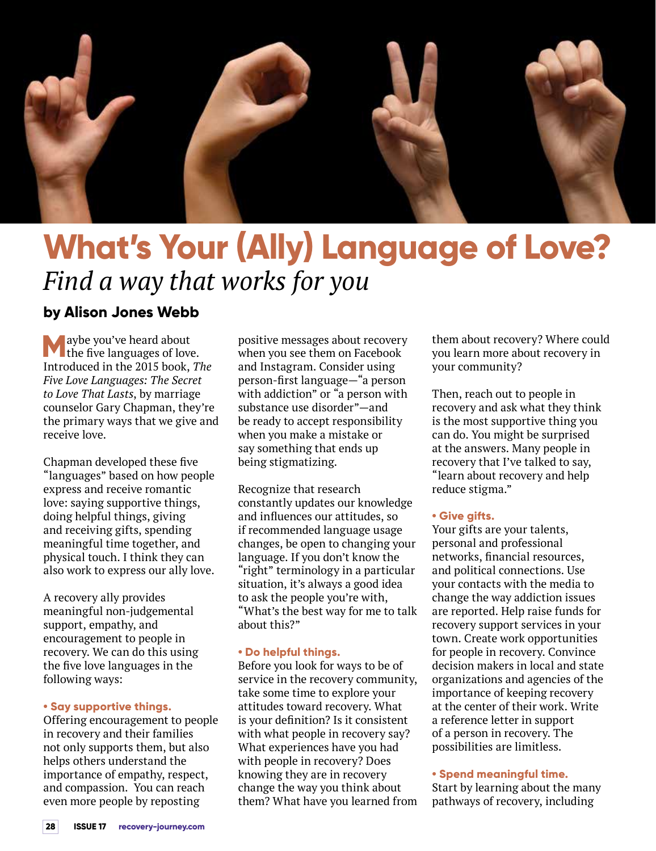

# **What's Your (Ally) Language of Love?** *Find a way that works for you*

### **by Alison Jones Webb**

**M** aybe you've heard about<br>the five languages of love. Introduced in the 2015 book, *The Five Love Languages: The Secret to Love That Lasts*, by marriage counselor Gary Chapman, they're the primary ways that we give and receive love.

Chapman developed these five "languages" based on how people express and receive romantic love: saying supportive things, doing helpful things, giving and receiving gifts, spending meaningful time together, and physical touch. I think they can also work to express our ally love.

A recovery ally provides meaningful non-judgemental support, empathy, and encouragement to people in recovery. We can do this using the five love languages in the following ways:

#### **• Say supportive things.**

Offering encouragement to people in recovery and their families not only supports them, but also helps others understand the importance of empathy, respect, and compassion. You can reach even more people by reposting

positive messages about recovery when you see them on Facebook and Instagram. Consider using person-first language—"a person with addiction" or "a person with substance use disorder"—and be ready to accept responsibility when you make a mistake or say something that ends up being stigmatizing.

Recognize that research constantly updates our knowledge and influences our attitudes, so if recommended language usage changes, be open to changing your language. If you don't know the "right" terminology in a particular situation, it's always a good idea to ask the people you're with, "What's the best way for me to talk about this?"

#### **• Do helpful things.**

Before you look for ways to be of service in the recovery community, take some time to explore your attitudes toward recovery. What is your definition? Is it consistent with what people in recovery say? What experiences have you had with people in recovery? Does knowing they are in recovery change the way you think about them? What have you learned from

them about recovery? Where could you learn more about recovery in your community?

Then, reach out to people in recovery and ask what they think is the most supportive thing you can do. You might be surprised at the answers. Many people in recovery that I've talked to say, "learn about recovery and help reduce stigma."

#### **• Give gifts.**

Your gifts are your talents, personal and professional networks, financial resources, and political connections. Use your contacts with the media to change the way addiction issues are reported. Help raise funds for recovery support services in your town. Create work opportunities for people in recovery. Convince decision makers in local and state organizations and agencies of the importance of keeping recovery at the center of their work. Write a reference letter in support of a person in recovery. The possibilities are limitless.

#### **• Spend meaningful time.**

Start by learning about the many pathways of recovery, including